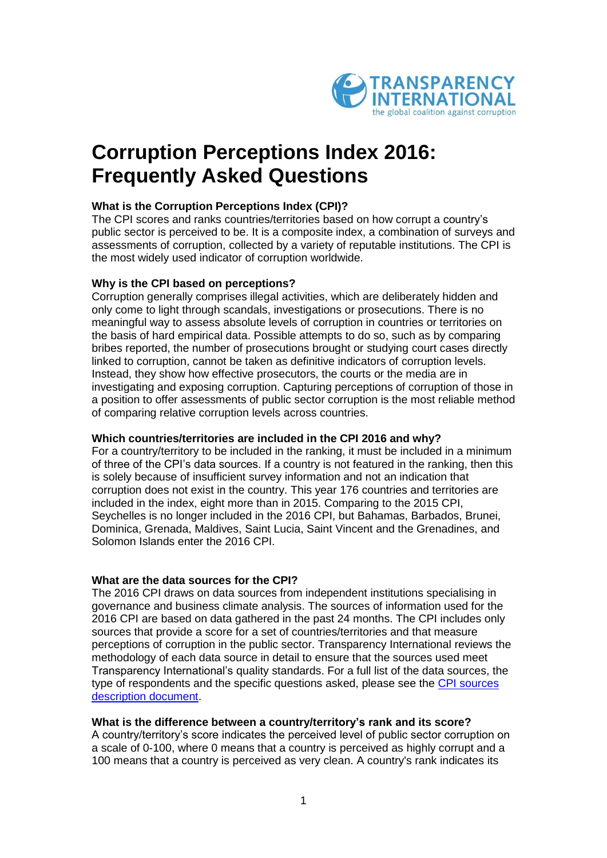

# **Corruption Perceptions Index 2016: Frequently Asked Questions**

## **What is the Corruption Perceptions Index (CPI)?**

The CPI scores and ranks countries/territories based on how corrupt a country's public sector is perceived to be. It is a composite index, a combination of surveys and assessments of corruption, collected by a variety of reputable institutions. The CPI is the most widely used indicator of corruption worldwide.

#### **Why is the CPI based on perceptions?**

Corruption generally comprises illegal activities, which are deliberately hidden and only come to light through scandals, investigations or prosecutions. There is no meaningful way to assess absolute levels of corruption in countries or territories on the basis of hard empirical data. Possible attempts to do so, such as by comparing bribes reported, the number of prosecutions brought or studying court cases directly linked to corruption, cannot be taken as definitive indicators of corruption levels. Instead, they show how effective prosecutors, the courts or the media are in investigating and exposing corruption. Capturing perceptions of corruption of those in a position to offer assessments of public sector corruption is the most reliable method of comparing relative corruption levels across countries.

## **Which countries/territories are included in the CPI 2016 and why?**

For a country/territory to be included in the ranking, it must be included in a minimum of three of the CPI's data sources. If a country is not featured in the ranking, then this is solely because of insufficient survey information and not an indication that corruption does not exist in the country. This year 176 countries and territories are included in the index, eight more than in 2015. Comparing to the 2015 CPI, Seychelles is no longer included in the 2016 CPI, but Bahamas, Barbados, Brunei, Dominica, Grenada, Maldives, Saint Lucia, Saint Vincent and the Grenadines, and Solomon Islands enter the 2016 CPI.

## **What are the data sources for the CPI?**

The 2016 CPI draws on data sources from independent institutions specialising in governance and business climate analysis. The sources of information used for the 2016 CPI are based on data gathered in the past 24 months. The CPI includes only sources that provide a score for a set of countries/territories and that measure perceptions of corruption in the public sector. Transparency International reviews the methodology of each data source in detail to ensure that the sources used meet Transparency International's quality standards. For a full list of the data sources, the type of respondents and the specific questions asked, please see the [CPI sources](http://files.transparency.org/content/download/2056/13236/file/CPI_2016_SourceDescriptionDocument_EN.pdf)  [description document.](http://files.transparency.org/content/download/2056/13236/file/CPI_2016_SourceDescriptionDocument_EN.pdf)

## **What is the difference between a country/territory's rank and its score?**

A country/territory's score indicates the perceived level of public sector corruption on a scale of 0-100, where 0 means that a country is perceived as highly corrupt and a 100 means that a country is perceived as very clean. A country's rank indicates its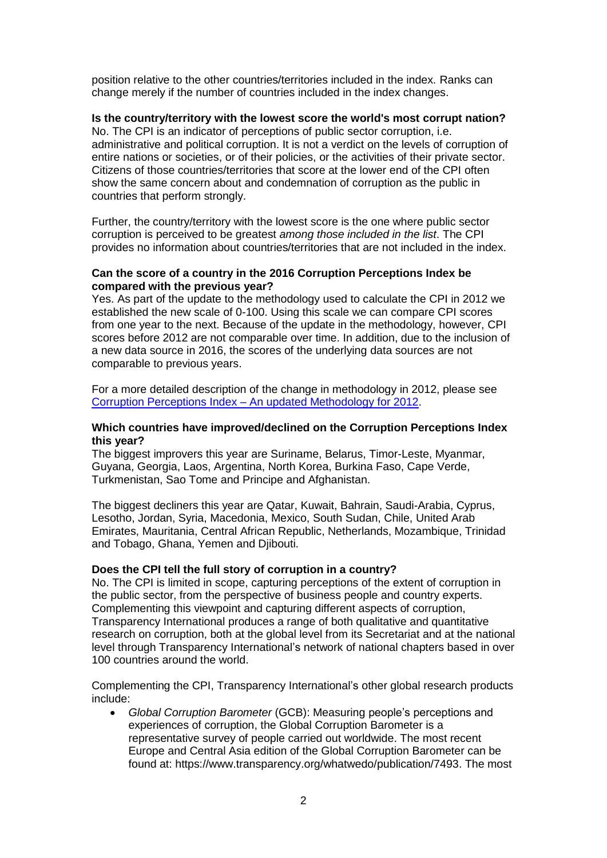position relative to the other countries/territories included in the index. Ranks can change merely if the number of countries included in the index changes.

#### **Is the country/territory with the lowest score the world's most corrupt nation?**

No. The CPI is an indicator of perceptions of public sector corruption, i.e. administrative and political corruption. It is not a verdict on the levels of corruption of entire nations or societies, or of their policies, or the activities of their private sector. Citizens of those countries/territories that score at the lower end of the CPI often show the same concern about and condemnation of corruption as the public in countries that perform strongly.

Further, the country/territory with the lowest score is the one where public sector corruption is perceived to be greatest *among those included in the list*. The CPI provides no information about countries/territories that are not included in the index.

#### **Can the score of a country in the 2016 Corruption Perceptions Index be compared with the previous year?**

Yes. As part of the update to the methodology used to calculate the CPI in 2012 we established the new scale of 0-100. Using this scale we can compare CPI scores from one year to the next. Because of the update in the methodology, however, CPI scores before 2012 are not comparable over time. In addition, due to the inclusion of a new data source in 2016, the scores of the underlying data sources are not comparable to previous years.

For a more detailed description of the change in methodology in 2012, please see Corruption Perceptions Index – [An updated Methodology for 2012.](http://www.transparency.org/files/content/pressrelease/2012_CPIUpdatedMethodology_EMBARGO_EN.pdf)

#### **Which countries have improved/declined on the Corruption Perceptions Index this year?**

The biggest improvers this year are Suriname, Belarus, Timor-Leste, Myanmar, Guyana, Georgia, Laos, Argentina, North Korea, Burkina Faso, Cape Verde, Turkmenistan, Sao Tome and Principe and Afghanistan.

The biggest decliners this year are Qatar, Kuwait, Bahrain, Saudi-Arabia, Cyprus, Lesotho, Jordan, Syria, Macedonia, Mexico, South Sudan, Chile, United Arab Emirates, Mauritania, Central African Republic, Netherlands, Mozambique, Trinidad and Tobago, Ghana, Yemen and Djibouti.

## **Does the CPI tell the full story of corruption in a country?**

No. The CPI is limited in scope, capturing perceptions of the extent of corruption in the public sector, from the perspective of business people and country experts. Complementing this viewpoint and capturing different aspects of corruption, Transparency International produces a range of both qualitative and quantitative research on corruption, both at the global level from its Secretariat and at the national level through Transparency International's network of national chapters based in over 100 countries around the world.

Complementing the CPI, Transparency International's other global research products include:

 *Global Corruption Barometer* (GCB): Measuring people's perceptions and experiences of corruption, the Global Corruption Barometer is a representative survey of people carried out worldwide. The most recent Europe and Central Asia edition of the Global Corruption Barometer can be found at: https://www.transparency.org/whatwedo/publication/7493. The most